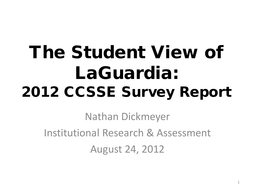# The Student View of LaGuardia: 2012 CCSSE Survey Report

Nathan Dickmeyer Institutional Research & Assessment August 24, 2012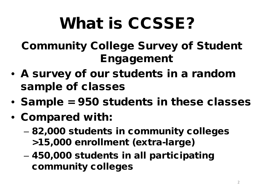# What is CCSSE?

Community College Survey of Student Engagement

- A survey of our students in a random sample of classes
- Sample = 950 students in these classes
- Compared with:
	- 82,000 students in community colleges >15,000 enrollment (extra-large)
	- 450,000 students in all participating community colleges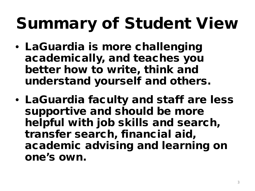# Summary of Student View

- LaGuardia is more challenging academically, and teaches you better how to write, think and understand yourself and others.
- LaGuardia faculty and staff are less supportive and should be more helpful with job skills and search, transfer search, financial aid, academic advising and learning on one's own.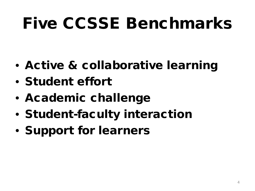# Five CCSSE Benchmarks

- Active & collaborative learning
- Student effort
- Academic challenge
- Student-faculty interaction
- Support for learners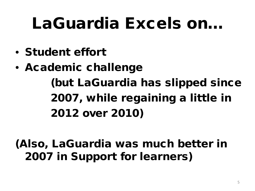## LaGuardia Excels on…

- Student effort
- Academic challenge (but LaGuardia has slipped since 2007, while regaining a little in 2012 over 2010)

(Also, LaGuardia was much better in 2007 in Support for learners)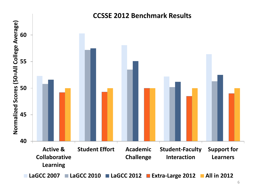

#### **CCSSE 2012 Benchmark Results**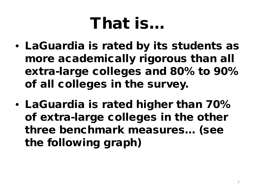## That is…

- LaGuardia is rated by its students as more academically rigorous than all extra-large colleges and 80% to 90% of all colleges in the survey.
- LaGuardia is rated higher than 70% of extra-large colleges in the other three benchmark measures… (see the following graph)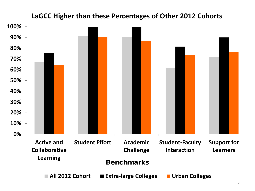#### **LaGCC Higher than these Percentages of Other 2012 Cohorts**

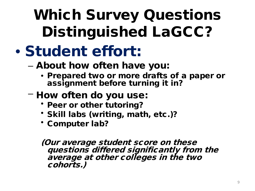## Which Survey Questions Distinguished LaGCC?

### • Student effort:

#### – About how often have you:

- Prepared two or more drafts of a paper or assignment before turning it in?
- How often do you use:
	- Peer or other tutoring?
	- Skill labs (writing, math, etc.)?
	- Computer lab?

(Our average student score on these questions differed significantly from the average at other colleges in the two cohorts.)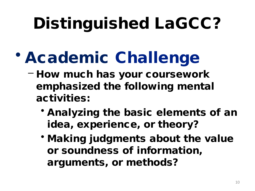# Distinguished LaGCC?

- Academic Challenge
	- How much has your coursework emphasized the following mental activities:
		- Analyzing the basic elements of an idea, experience, or theory?
		- Making judgments about the value or soundness of information, arguments, or methods?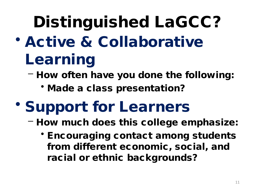# Distinguished LaGCC?

- Active & Collaborative Learning
	- How often have you done the following:
		- Made a class presentation?
- Support for Learners
	- How much does this college emphasize:
		- Encouraging contact among students from different economic, social, and racial or ethnic backgrounds?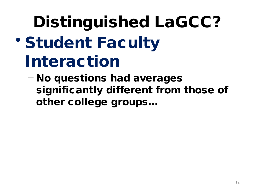# Distinguished LaGCC? • Student Faculty Interaction

– No questions had averages significantly different from those of other college groups…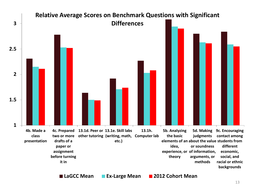

13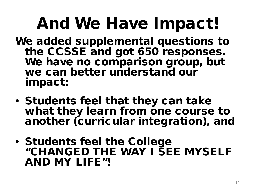# And We Have Impact!

- We added supplemental questions to the CCSSE and got 650 responses. We have no comparison group, but we can better understand our impact:
- Students feel that they can take what they learn from one course to another (curricular integration), and
- Students feel the College "CHANGED THE WAY I SEE MYSELF AND MY LIFE"!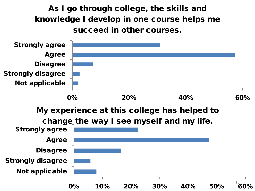As I go through college, the skills and knowledge I develop in one course helps me succeed in other courses.

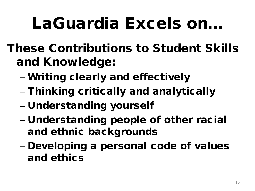## LaGuardia Excels on…

- These Contributions to Student Skills and Knowledge:
	- Writing clearly and effectively
	- Thinking critically and analytically
	- Understanding yourself
	- Understanding people of other racial and ethnic backgrounds
	- Developing a personal code of values and ethics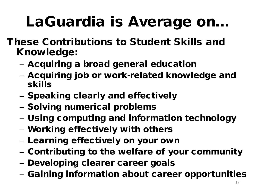## LaGuardia is Average on…

- These Contributions to Student Skills and Knowledge:
	- Acquiring a broad general education
	- Acquiring job or work-related knowledge and skills
	- Speaking clearly and effectively
	- Solving numerical problems
	- Using computing and information technology
	- Working effectively with others
	- Learning effectively on your own
	- Contributing to the welfare of your community
	- Developing clearer career goals
	- Gaining information about career opportunities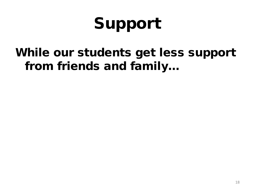# Support

### While our students get less support from friends and family…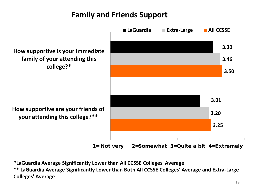#### **Family and Friends Support**



1= Not very 2=Somewhat 3=Quite a bit 4=Extremely

**\*LaGuardia Average Significantly Lower than All CCSSE Colleges' Average \*\* LaGuardia Average Significantly Lower than Both All CCSSE Colleges' Average and Extra-Large Colleges' Average**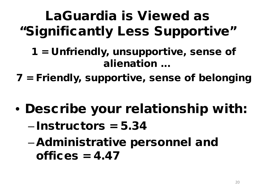### LaGuardia is Viewed as "Significantly Less Supportive"

- 1 = Unfriendly, unsupportive, sense of alienation ...
- 7 = Friendly, supportive, sense of belonging
- Describe your relationship with:
	- Instructors = 5.34
	- –Administrative personnel and offices  $= 4.47$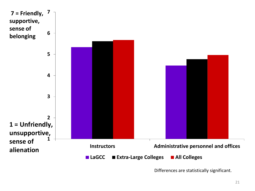

Differences are statistically significant.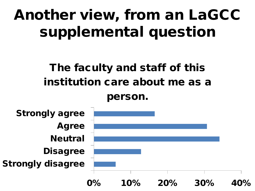### Another view, from an LaGCC supplemental question

### The faculty and staff of this institution care about me as a

person.

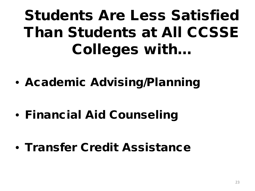## Students Are Less Satisfied Than Students at All CCSSE Colleges with…

- Academic Advising/Planning
- Financial Aid Counseling
- Transfer Credit Assistance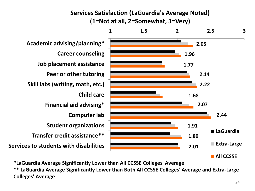#### **Services Satisfaction (LaGuardia's Average Noted) (1=Not at all, 2=Somewhat, 3=Very)**



**\*LaGuardia Average Significantly Lower than All CCSSE Colleges' Average \*\* LaGuardia Average Significantly Lower than Both All CCSSE Colleges' Average and Extra-Large Colleges' Average**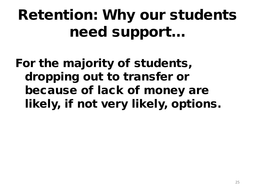## Retention: Why our students need support…

For the majority of students, dropping out to transfer or because of lack of money are likely, if not very likely, options.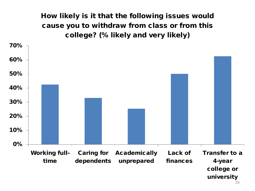How likely is it that the following issues would cause you to withdraw from class or from this college? (% likely and very likely)



<sup>26</sup>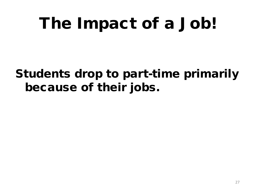# The Impact of a Job!

### Students drop to part-time primarily because of their jobs.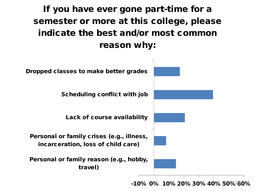#### If you have ever gone part-time for a semester or more at this college, please indicate the best and/or most common reason why:



 $-10\%$  0% 10% 20% 30% 40% 50% $^2$ 60%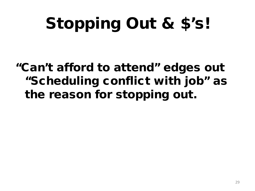# Stopping Out & \$'s!

### "Can't afford to attend" edges out "Scheduling conflict with job" as the reason for stopping out.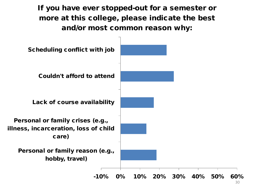If you have ever stopped-out for a semester or more at this college, please indicate the best and/or most common reason why:

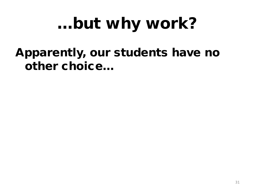# …but why work?

### Apparently, our students have no other choice…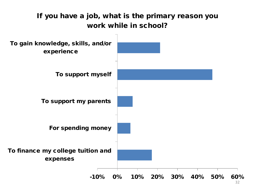

32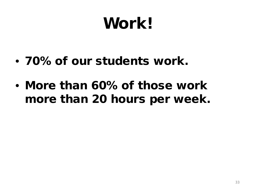# Work!

- 70% of our students work.
- More than 60% of those work more than 20 hours per week.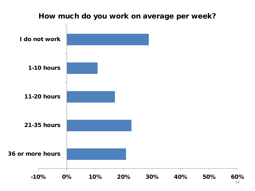#### How much do you work on average per week?



34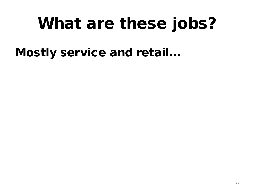# What are these jobs?

Mostly service and retail…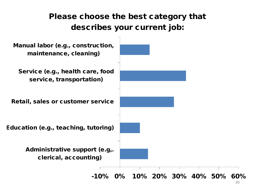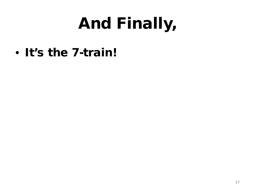# And Finally,

• It's the 7-train!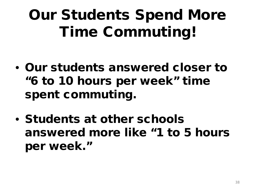## Our Students Spend More Time Commuting!

- Our students answered closer to "6 to 10 hours per week" time spent commuting.
- Students at other schools answered more like "1 to 5 hours per week."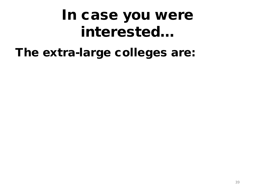### In case you were interested…

### The extra-large colleges are: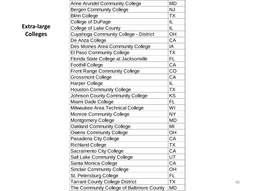|       | <b>Anne Arundel Community College</b>     | <b>MD</b> |
|-------|-------------------------------------------|-----------|
|       | <b>Bergen Community College</b>           | <b>NJ</b> |
|       | <b>Blinn College</b>                      | <b>TX</b> |
|       | College of DuPage                         | IL.       |
| large | College of Lake County                    | IL.       |
| ges   | Cuyahoga Community College - District     | OH        |
|       | De Anza College                           | CA        |
|       | Des Moines Area Community College         | IA        |
|       | <b>El Paso Community College</b>          | <b>TX</b> |
|       | Florida State College at Jacksonville     | FL.       |
|       | <b>Foothill College</b>                   | CA        |
|       | <b>Front Range Community College</b>      | CO        |
|       | <b>Grossmont College</b>                  | CA        |
|       | Harper College                            | IL.       |
|       | <b>Houston Community College</b>          | <b>TX</b> |
|       | <b>Johnson County Community College</b>   | <b>KS</b> |
|       | Miami Dade College                        | FL.       |
|       | Milwaukee Area Technical College          | WI        |
|       | <b>Monroe Community College</b>           | <b>NY</b> |
|       | <b>Montgomery College</b>                 | <b>MD</b> |
|       | <b>Oakland Community College</b>          | MI        |
|       | <b>Owens Community College</b>            | <b>OH</b> |
|       | Pasadena City College                     | CA        |
|       | <b>Richland College</b>                   | <b>TX</b> |
|       | <b>Sacramento City College</b>            | CA        |
|       | <b>Salt Lake Community College</b>        | UT        |
|       | Santa Monica College                      | CA        |
|       | <b>Sinclair Community College</b>         | OH        |
|       | St. Petersburg College                    | FL.       |
|       | <b>Tarrant County College District</b>    | TX        |
|       | The Community College of Baltimore County | <b>MD</b> |

**Extra -large Colleg**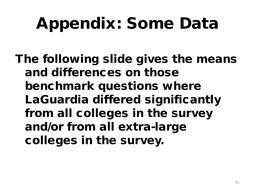# Appendix: Some Data

The following slide gives the means and differences on those benchmark questions where LaGuardia differed significantly from all colleges in the survey and/or from all extra-large colleges in the survey.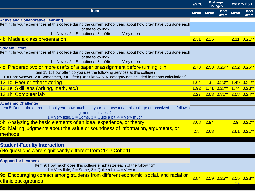| <b>LaGCC</b>                                                                                                                         |             | <b>Ex-Large</b><br><b>Colleges</b> |                         | 2012 Cohort |                         |
|--------------------------------------------------------------------------------------------------------------------------------------|-------------|------------------------------------|-------------------------|-------------|-------------------------|
| <b>Item</b>                                                                                                                          | <b>Mean</b> | <b>Mean</b>                        | <b>Effect</b><br>Size** | <b>Mean</b> | <b>Effect</b><br>Size** |
| <b>Active and Collaborative Learning</b>                                                                                             |             |                                    |                         |             |                         |
| Item 4: In your experiences at this college during the current school year, about how often have you done each<br>of the following?  |             |                                    |                         |             |                         |
| $1 =$ Never, $2 =$ Sometimes, $3 =$ Often, $4 =$ Very often                                                                          |             |                                    |                         |             |                         |
| 4b. Made a class presentation                                                                                                        | 2.31        | 2.15                               |                         |             | $2.11$ 0.21**           |
| <b>Student Effort</b>                                                                                                                |             |                                    |                         |             |                         |
| Item 4: In your experiences at this college during the current school year, about how often have you done each<br>of the following?  |             |                                    |                         |             |                         |
| $1 =$ Never, $2 =$ Sometimes, $3 =$ Often, $4 =$ Very often                                                                          |             |                                    |                         |             |                         |
| 4c. Prepared two or more drafts of a paper or assignment before turning it in                                                        | 2.78        |                                    | 2.53 0.25** 2.52 0.26** |             |                         |
| Item 13.1: How often do you use the following services at this college?                                                              |             |                                    |                         |             |                         |
| 1 = Rarely/Never, 2 = Sometimes, 3 = Often (Don't know/N.A. category not included in means calculations)                             |             |                                    |                         |             |                         |
| 13.1d. Peer or other tutoring                                                                                                        | 1.64        | 1.5                                | $ 0.20***$              | 1.49        | $0.21***$               |
| 13.1e. Skill labs (writing, math, etc.)                                                                                              |             | 1.71                               | $ 0.27*** $             |             | $1.74$ 0.23**           |
| 13.1h. Computer lab                                                                                                                  | 2.27        |                                    | $2.03$ 0.31**           |             | $2.08$ 0.24**           |
| <b>Academic Challenge</b>                                                                                                            |             |                                    |                         |             |                         |
| Item 5: During the current school year, how much has your coursework at this college emphasized the followin<br>g mental activities? |             |                                    |                         |             |                         |
| $1 = \text{Very little}, 2 = \text{Some}, 3 = \text{Quite}$ a bit, $4 = \text{Very much}$                                            |             |                                    |                         |             |                         |
| 5b. Analyzing the basic elements of an idea, experience, or theory                                                                   | 3.08        | 2.94                               |                         | 2.9         | $0.22**$                |
| 5d. Making judgments about the value or soundness of information, arguments, or<br>methods                                           | 2.8         | 2.63                               |                         |             | $2.61$ 0.21**           |
|                                                                                                                                      |             |                                    |                         |             |                         |
| <b>Student-Faculty Interaction</b>                                                                                                   |             |                                    |                         |             |                         |
| (No questions were significantly different from 2012 Cohort)                                                                         |             |                                    |                         |             |                         |
| <b>Support for Learners</b>                                                                                                          |             |                                    |                         |             |                         |
| Item 9: How much does this college emphasize each of the following?                                                                  |             |                                    |                         |             |                         |
| $1 = \text{Very little}, 2 = \text{Some}, 3 = \text{Quite}$ a bit, $4 = \text{Very much}$                                            |             |                                    |                         |             |                         |
| <u>9c. Encouraging contact among students from different economic, social, and racial or</u><br>ethnic backgrounds                   | 2.84        |                                    | $2.59$ 0.25**           | 42          | $2.55$ 0.28**           |
|                                                                                                                                      |             |                                    |                         |             |                         |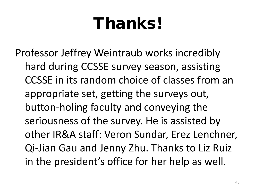# Thanks!

Professor Jeffrey Weintraub works incredibly hard during CCSSE survey season, assisting CCSSE in its random choice of classes from an appropriate set, getting the surveys out, button-holing faculty and conveying the seriousness of the survey. He is assisted by other IR&A staff: Veron Sundar, Erez Lenchner, Qi-Jian Gau and Jenny Zhu. Thanks to Liz Ruiz in the president's office for her help as well.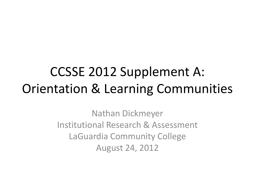### CCSSE 2012 Supplement A: Orientation & Learning Communities

Nathan Dickmeyer Institutional Research & Assessment LaGuardia Community College August 24, 2012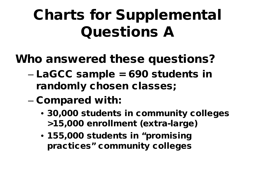## Charts for Supplemental Questions A

### Who answered these questions?

- LaGCC sample = 690 students in randomly chosen classes;
- Compared with:
	- 30,000 students in community colleges >15,000 enrollment (extra-large)
	- 155,000 students in "promising practices" community colleges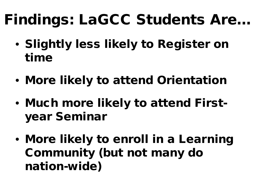## Findings: LaGCC Students Are…

- Slightly less likely to Register on time
- More likely to attend Orientation
- Much more likely to attend Firstyear Seminar
- More likely to enroll in a Learning Community (but not many do nation-wide)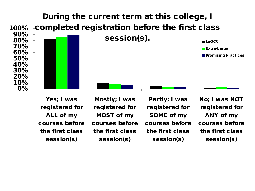![](_page_46_Figure_0.jpeg)

Yes; I was registered for ALL of my courses before the first class session(s)

Mostly; I was registered for MOST of my courses before the first class session(s)

Partly; I was registered for SOME of my courses before the first class session(s)

No; I was NOT registered for ANY of my courses before the first class session(s)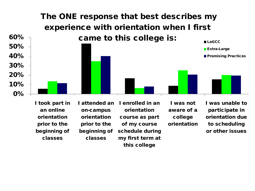![](_page_47_Figure_0.jpeg)

I took part in an online orientation prior to the beginning of classes

I attended an on-campus orientation prior to the beginning of classes

I enrolled in an orientation course as part of my course schedule during my first term at this college

I was not aware of a college orientation I was unable to participate in orientation due to scheduling or other issues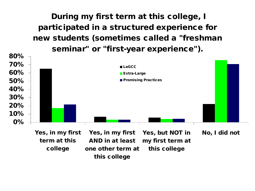During my first term at this college, I participated in a structured experience for new students (sometimes called a "freshman seminar" or "first-year experience").

![](_page_48_Figure_1.jpeg)

this college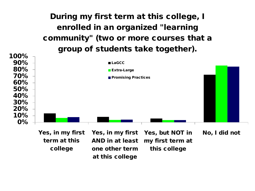#### During my first term at this college, I enrolled in an organized "learning community" (two or more courses that a group of students take together).

![](_page_49_Figure_1.jpeg)

term at this college

AND in at least one other term at this college my first term at this college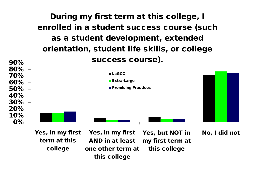![](_page_50_Figure_0.jpeg)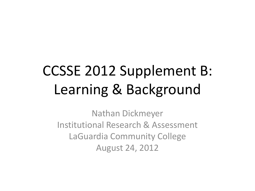## CCSSE 2012 Supplement B: Learning & Background

Nathan Dickmeyer Institutional Research & Assessment LaGuardia Community College August 24, 2012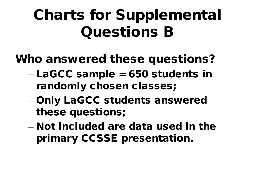### Charts for Supplemental Questions B

### Who answered these questions?

- LaGCC sample = 650 students in randomly chosen classes;
- Only LaGCC students answered these questions;
- Not included are data used in the primary CCSSE presentation.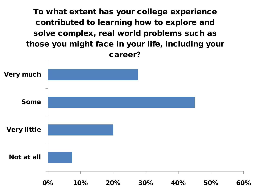To what extent has your college experience contributed to learning how to explore and solve complex, real world problems such as those you might face in your life, including your career?

![](_page_53_Figure_1.jpeg)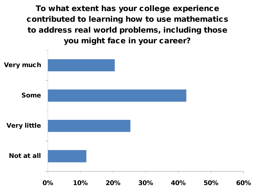To what extent has your college experience contributed to learning how to use mathematics to address real world problems, including those you might face in your career?

![](_page_54_Figure_1.jpeg)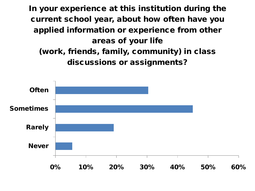In your experience at this institution during the current school year, about how often have you applied information or experience from other areas of your life (work, friends, family, community) in class discussions or assignments?

![](_page_55_Figure_1.jpeg)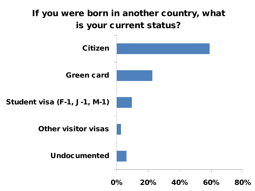#### If you were born in another country, what is your current status?

![](_page_56_Figure_1.jpeg)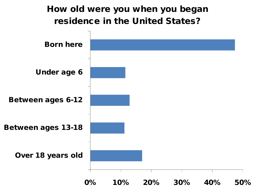![](_page_57_Figure_0.jpeg)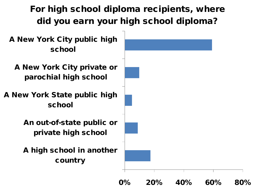#### For high school diploma recipients, where did you earn your high school diploma?

A New York City public high school

A New York City private or parochial high school

A New York State public high school

> An out-of-state public or private high school

> A high school in another country

![](_page_58_Picture_6.jpeg)

0% 20% 40% 60% 80%